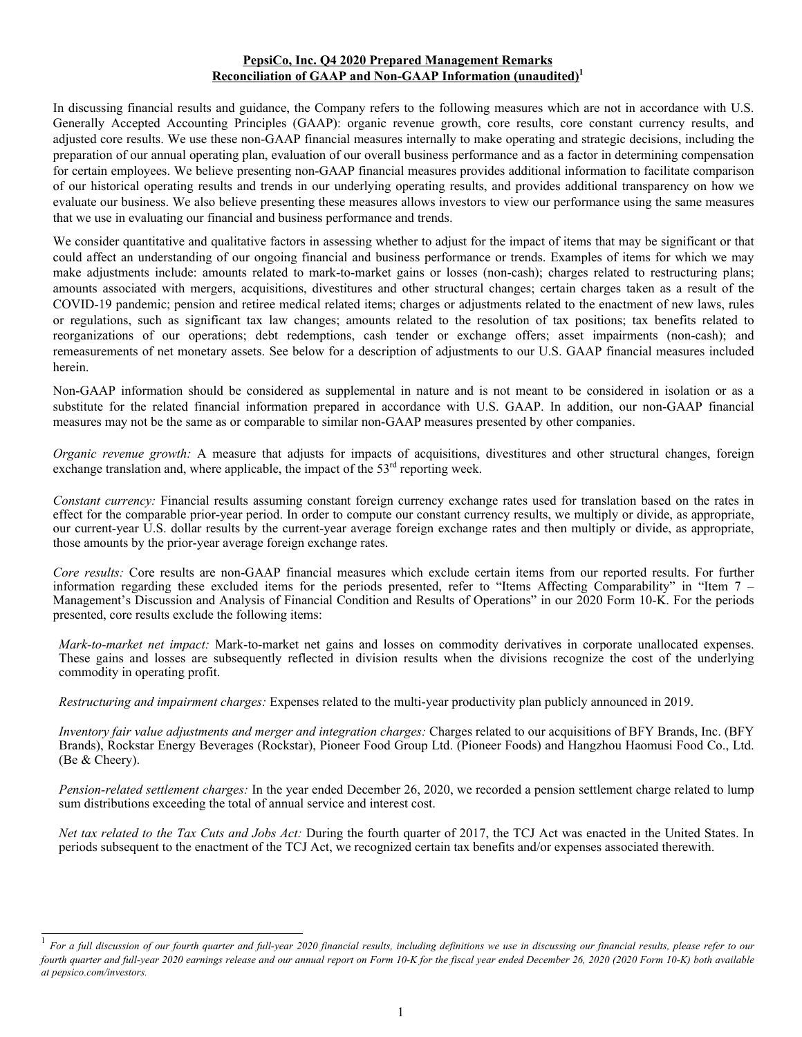#### **PepsiCo, Inc. Q4 2020 Prepared Management Remarks Reconciliation of GAAP and Non-GAAP Information (unaudited)<sup>1</sup>**

In discussing financial results and guidance, the Company refers to the following measures which are not in accordance with U.S. Generally Accepted Accounting Principles (GAAP): organic revenue growth, core results, core constant currency results, and adjusted core results. We use these non-GAAP financial measures internally to make operating and strategic decisions, including the preparation of our annual operating plan, evaluation of our overall business performance and as a factor in determining compensation for certain employees. We believe presenting non-GAAP financial measures provides additional information to facilitate comparison of our historical operating results and trends in our underlying operating results, and provides additional transparency on how we evaluate our business. We also believe presenting these measures allows investors to view our performance using the same measures that we use in evaluating our financial and business performance and trends.

We consider quantitative and qualitative factors in assessing whether to adjust for the impact of items that may be significant or that could affect an understanding of our ongoing financial and business performance or trends. Examples of items for which we may make adjustments include: amounts related to mark-to-market gains or losses (non-cash); charges related to restructuring plans; amounts associated with mergers, acquisitions, divestitures and other structural changes; certain charges taken as a result of the COVID-19 pandemic; pension and retiree medical related items; charges or adjustments related to the enactment of new laws, rules or regulations, such as significant tax law changes; amounts related to the resolution of tax positions; tax benefits related to reorganizations of our operations; debt redemptions, cash tender or exchange offers; asset impairments (non-cash); and remeasurements of net monetary assets. See below for a description of adjustments to our U.S. GAAP financial measures included herein.

Non-GAAP information should be considered as supplemental in nature and is not meant to be considered in isolation or as a substitute for the related financial information prepared in accordance with U.S. GAAP. In addition, our non-GAAP financial measures may not be the same as or comparable to similar non-GAAP measures presented by other companies.

*Organic revenue growth:* A measure that adjusts for impacts of acquisitions, divestitures and other structural changes, foreign exchange translation and, where applicable, the impact of the  $53<sup>rd</sup>$  reporting week.

*Constant currency:* Financial results assuming constant foreign currency exchange rates used for translation based on the rates in effect for the comparable prior-year period. In order to compute our constant currency results, we multiply or divide, as appropriate, our current-year U.S. dollar results by the current-year average foreign exchange rates and then multiply or divide, as appropriate, those amounts by the prior-year average foreign exchange rates.

*Core results:* Core results are non-GAAP financial measures which exclude certain items from our reported results. For further information regarding these excluded items for the periods presented, refer to "Items Affecting Comparability" in "Item 7 – Management's Discussion and Analysis of Financial Condition and Results of Operations" in our 2020 Form 10-K. For the periods presented, core results exclude the following items:

*Mark-to-market net impact:* Mark-to-market net gains and losses on commodity derivatives in corporate unallocated expenses. These gains and losses are subsequently reflected in division results when the divisions recognize the cost of the underlying commodity in operating profit.

*Restructuring and impairment charges:* Expenses related to the multi-year productivity plan publicly announced in 2019.

*Inventory fair value adjustments and merger and integration charges:* Charges related to our acquisitions of BFY Brands, Inc. (BFY Brands), Rockstar Energy Beverages (Rockstar), Pioneer Food Group Ltd. (Pioneer Foods) and Hangzhou Haomusi Food Co., Ltd. (Be & Cheery).

*Pension-related settlement charges:* In the year ended December 26, 2020, we recorded a pension settlement charge related to lump sum distributions exceeding the total of annual service and interest cost.

*Net tax related to the Tax Cuts and Jobs Act:* During the fourth quarter of 2017, the TCJ Act was enacted in the United States. In periods subsequent to the enactment of the TCJ Act, we recognized certain tax benefits and/or expenses associated therewith.

<sup>1</sup> *For a full discussion of our fourth quarter and full-year 2020 financial results, including definitions we use in discussing our financial results, please refer to our fourth quarter and full-year 2020 earnings release and our annual report on Form 10-K for the fiscal year ended December 26, 2020 (2020 Form 10-K) both available at pepsico.com/investors.*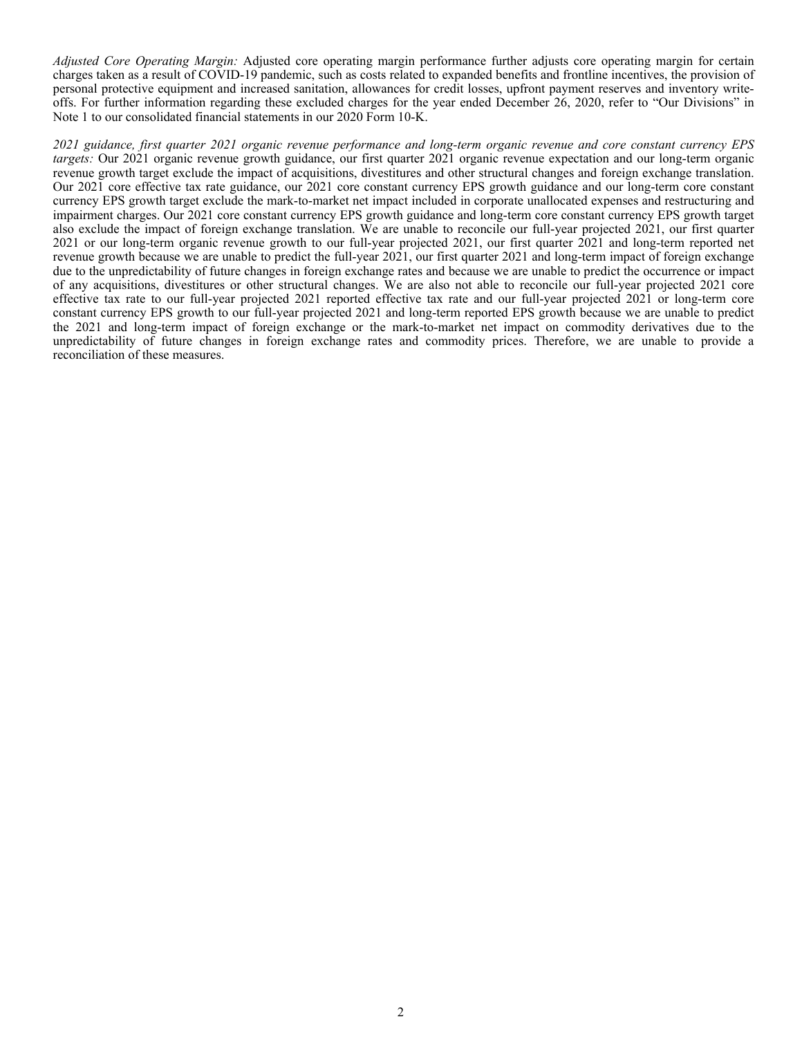*Adjusted Core Operating Margin:* Adjusted core operating margin performance further adjusts core operating margin for certain charges taken as a result of COVID-19 pandemic, such as costs related to expanded benefits and frontline incentives, the provision of personal protective equipment and increased sanitation, allowances for credit losses, upfront payment reserves and inventory writeoffs. For further information regarding these excluded charges for the year ended December 26, 2020, refer to "Our Divisions" in Note 1 to our consolidated financial statements in our 2020 Form 10-K.

*2021 guidance, first quarter 2021 organic revenue performance and long-term organic revenue and core constant currency EPS targets:* Our 2021 organic revenue growth guidance, our first quarter 2021 organic revenue expectation and our long-term organic revenue growth target exclude the impact of acquisitions, divestitures and other structural changes and foreign exchange translation. Our 2021 core effective tax rate guidance, our 2021 core constant currency EPS growth guidance and our long-term core constant currency EPS growth target exclude the mark-to-market net impact included in corporate unallocated expenses and restructuring and impairment charges. Our 2021 core constant currency EPS growth guidance and long-term core constant currency EPS growth target also exclude the impact of foreign exchange translation. We are unable to reconcile our full-year projected 2021, our first quarter 2021 or our long-term organic revenue growth to our full-year projected 2021, our first quarter 2021 and long-term reported net revenue growth because we are unable to predict the full-year 2021, our first quarter 2021 and long-term impact of foreign exchange due to the unpredictability of future changes in foreign exchange rates and because we are unable to predict the occurrence or impact of any acquisitions, divestitures or other structural changes. We are also not able to reconcile our full-year projected 2021 core effective tax rate to our full-year projected 2021 reported effective tax rate and our full-year projected 2021 or long-term core constant currency EPS growth to our full-year projected 2021 and long-term reported EPS growth because we are unable to predict the 2021 and long-term impact of foreign exchange or the mark-to-market net impact on commodity derivatives due to the unpredictability of future changes in foreign exchange rates and commodity prices. Therefore, we are unable to provide a reconciliation of these measures.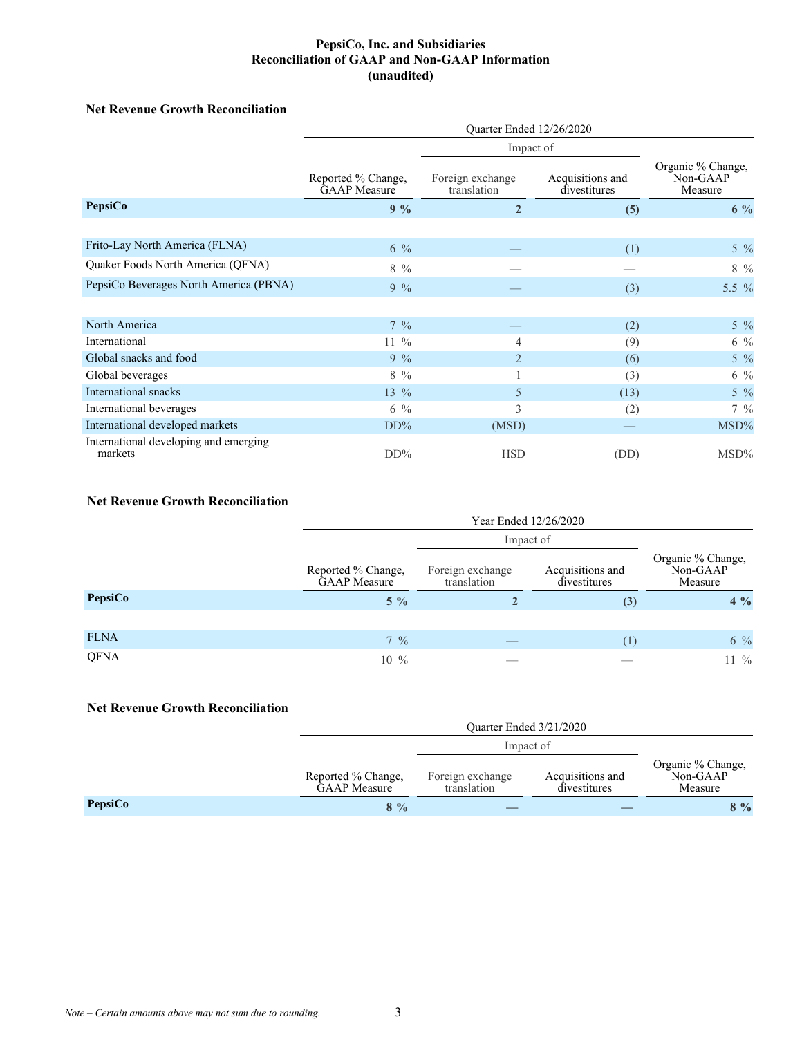## **Net Revenue Growth Reconciliation**

|                                                  | Quarter Ended 12/26/2020                  |                                 |                                  |                                          |
|--------------------------------------------------|-------------------------------------------|---------------------------------|----------------------------------|------------------------------------------|
|                                                  | Impact of                                 |                                 |                                  |                                          |
|                                                  | Reported % Change,<br><b>GAAP</b> Measure | Foreign exchange<br>translation | Acquisitions and<br>divestitures | Organic % Change,<br>Non-GAAP<br>Measure |
| <b>PepsiCo</b>                                   | $9\%$                                     | $\overline{2}$                  | (5)                              | $6\%$                                    |
|                                                  |                                           |                                 |                                  |                                          |
| Frito-Lay North America (FLNA)                   | $6\%$                                     |                                 | (1)                              | $5\frac{0}{6}$                           |
| Quaker Foods North America (QFNA)                | $8\frac{0}{6}$                            |                                 |                                  | $8\,9/0$                                 |
| PepsiCo Beverages North America (PBNA)           | $9\%$                                     |                                 | (3)                              | 5.5 $\%$                                 |
|                                                  |                                           |                                 |                                  |                                          |
| North America                                    | $7\frac{9}{6}$                            |                                 | (2)                              | $5\frac{9}{6}$                           |
| International                                    | $11\%$                                    | 4                               | (9)                              | $6\frac{9}{6}$                           |
| Global snacks and food                           | $9\%$                                     | $\overline{2}$                  | (6)                              | $5\frac{0}{6}$                           |
| Global beverages                                 | $8\%$                                     |                                 | (3)                              | $6\frac{9}{6}$                           |
| International snacks                             | $13\%$                                    | 5                               | (13)                             | $5\frac{9}{6}$                           |
| International beverages                          | $6\frac{9}{6}$                            | 3                               | (2)                              | $7\frac{9}{6}$                           |
| International developed markets                  | $DD\%$                                    | (MSD)                           |                                  | MSD%                                     |
| International developing and emerging<br>markets | $DD\%$                                    | <b>HSD</b>                      | (DD)                             | $\text{MSD}\%$                           |

### **Net Revenue Growth Reconciliation**

|             |                                    | Year Ended 12/26/2020           |                                  |                                          |  |
|-------------|------------------------------------|---------------------------------|----------------------------------|------------------------------------------|--|
|             |                                    |                                 | Impact of                        |                                          |  |
|             | Reported % Change,<br>GAAP Measure | Foreign exchange<br>translation | Acquisitions and<br>divestitures | Organic % Change,<br>Non-GAAP<br>Measure |  |
| PepsiCo     | $5\%$                              |                                 | (3)                              | $4\%$                                    |  |
|             |                                    |                                 |                                  |                                          |  |
| <b>FLNA</b> | $7\frac{9}{6}$                     |                                 | (1)                              | $6\%$                                    |  |
| QFNA        | $10\%$                             |                                 |                                  | $11\%$                                   |  |

### **Net Revenue Growth Reconciliation**

|         | Quarter Ended 3/21/2020                   |                                 |                                  |                                          |
|---------|-------------------------------------------|---------------------------------|----------------------------------|------------------------------------------|
|         | Impact of                                 |                                 |                                  |                                          |
|         | Reported % Change,<br><b>GAAP</b> Measure | Foreign exchange<br>translation | Acquisitions and<br>divestitures | Organic % Change,<br>Non-GAAP<br>Measure |
| PepsiCo | $8\%$                                     |                                 |                                  | $8\%$                                    |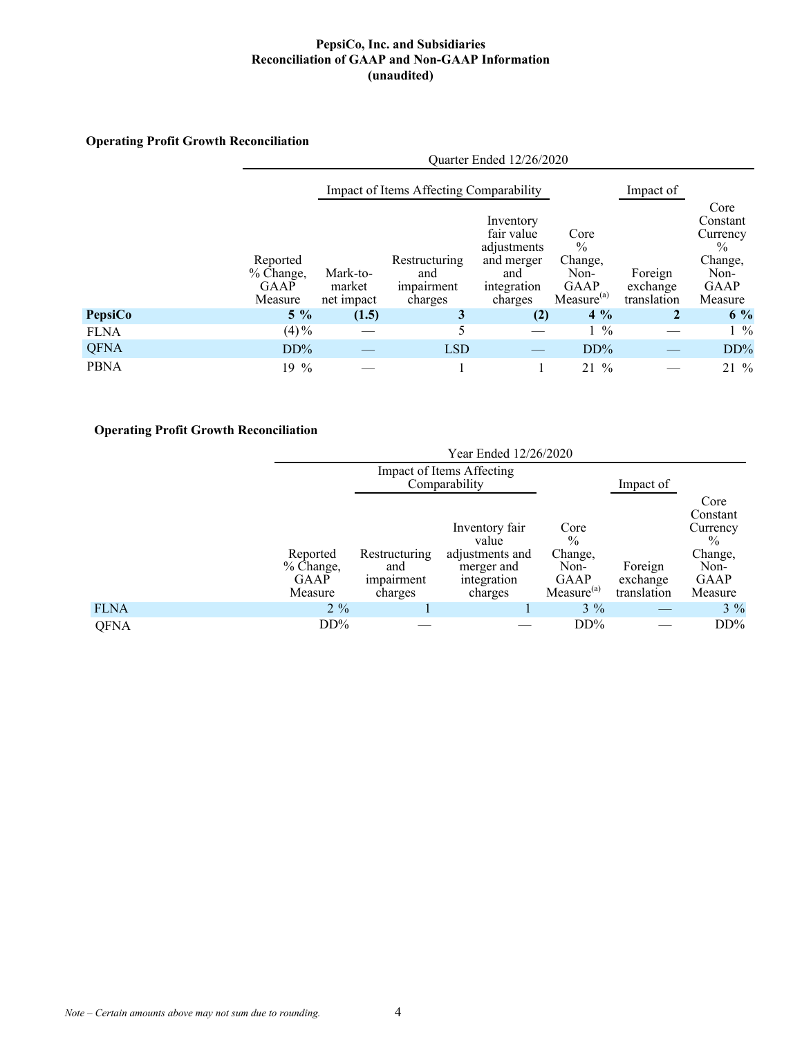# **Operating Profit Growth Reconciliation**

|             |                                                 | Quarter Ended 12/26/2020         |                                               |                                                                                       |                                                                            |                                    |                                                                                     |
|-------------|-------------------------------------------------|----------------------------------|-----------------------------------------------|---------------------------------------------------------------------------------------|----------------------------------------------------------------------------|------------------------------------|-------------------------------------------------------------------------------------|
|             |                                                 |                                  | Impact of Items Affecting Comparability       |                                                                                       |                                                                            | Impact of                          |                                                                                     |
|             | Reported<br>% Change,<br><b>GAAP</b><br>Measure | Mark-to-<br>market<br>net impact | Restructuring<br>and<br>impairment<br>charges | Inventory<br>fair value<br>adjustments<br>and merger<br>and<br>integration<br>charges | Core<br>$\frac{0}{0}$<br>Change,<br>Non-<br>GAAP<br>Measure <sup>(a)</sup> | Foreign<br>exchange<br>translation | Core<br>Constant<br>Currency<br>$\frac{0}{0}$<br>Change,<br>Non-<br>GAAP<br>Measure |
| PepsiCo     | $5\%$                                           | (1.5)                            | 3                                             | (2)                                                                                   | $4\%$                                                                      | $\mathbf{2}$                       | $6\%$                                                                               |
| <b>FLNA</b> | $(4) \%$                                        |                                  | 5                                             |                                                                                       | $1\frac{9}{6}$                                                             |                                    | $1\frac{9}{6}$                                                                      |
| <b>QFNA</b> | $DD\%$                                          |                                  | <b>LSD</b>                                    |                                                                                       | DD%                                                                        |                                    | DD%                                                                                 |
| <b>PBNA</b> | $19\%$                                          |                                  |                                               |                                                                                       | $\frac{0}{0}$<br>21                                                        |                                    | $21\%$                                                                              |

# **Operating Profit Growth Reconciliation**

|             |                                                 | Year Ended 12/26/2020                         |                                                                                    |                                                                   |                                    |                                                                                            |
|-------------|-------------------------------------------------|-----------------------------------------------|------------------------------------------------------------------------------------|-------------------------------------------------------------------|------------------------------------|--------------------------------------------------------------------------------------------|
|             |                                                 | Impact of Items Affecting<br>Comparability    |                                                                                    | Impact of                                                         |                                    |                                                                                            |
|             | Reported<br>% Change,<br><b>GAAP</b><br>Measure | Restructuring<br>and<br>impairment<br>charges | Inventory fair<br>value<br>adjustments and<br>merger and<br>integration<br>charges | Core<br>$\%$<br>Change,<br>Non-<br>GAAP<br>Measure <sup>(a)</sup> | Foreign<br>exchange<br>translation | Core<br>Constant<br>Currency<br>$\frac{0}{0}$<br>Change,<br>Non-<br><b>GAAP</b><br>Measure |
| <b>FLNA</b> | $2\%$                                           |                                               |                                                                                    | $3\%$                                                             |                                    | $3\%$                                                                                      |
| <b>QFNA</b> | $DD\%$                                          |                                               |                                                                                    | $DD\%$                                                            |                                    | $DD\%$                                                                                     |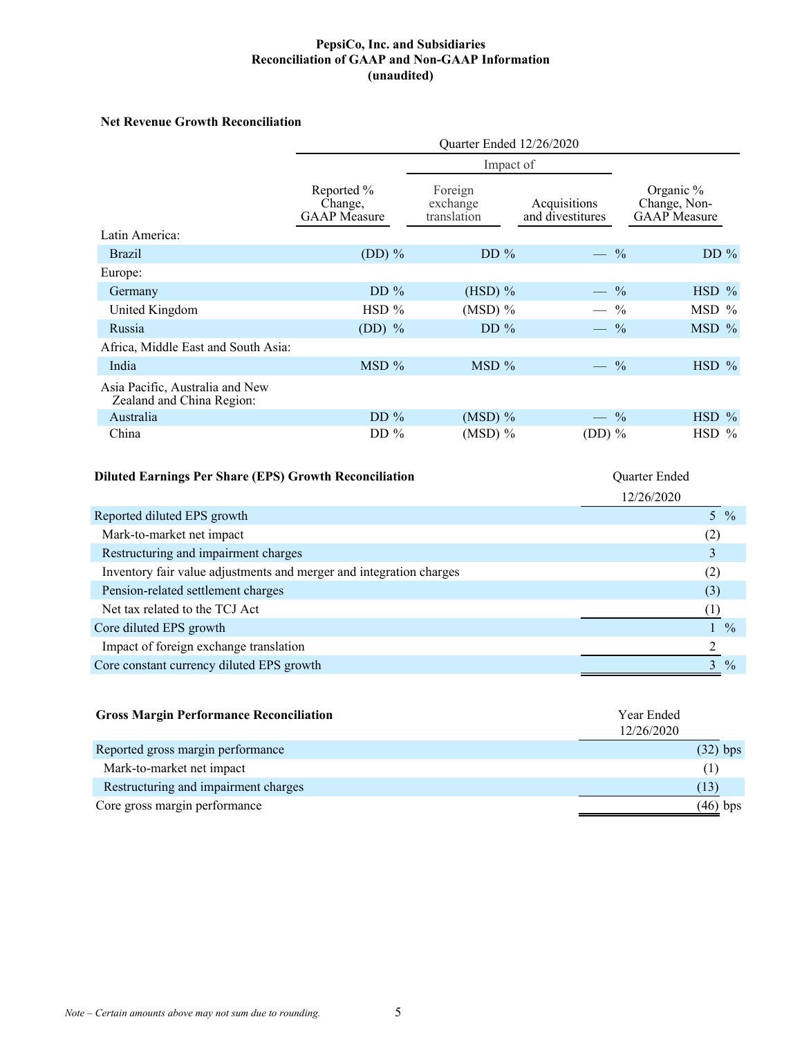### **Net Revenue Growth Reconciliation**

|                                                              | Quarter Ended 12/26/2020                     |                                    |                                  |                                                  |  |
|--------------------------------------------------------------|----------------------------------------------|------------------------------------|----------------------------------|--------------------------------------------------|--|
|                                                              |                                              |                                    |                                  |                                                  |  |
|                                                              | Reported %<br>Change.<br><b>GAAP</b> Measure | Foreign<br>exchange<br>translation | Acquisitions<br>and divestitures | Organic %<br>Change, Non-<br><b>GAAP</b> Measure |  |
| Latin America:                                               |                                              |                                    |                                  |                                                  |  |
| <b>Brazil</b>                                                | $(DD)$ %                                     | DD $%$                             | $-$ %                            | DD%                                              |  |
| Europe:                                                      |                                              |                                    |                                  |                                                  |  |
| Germany                                                      | DD $%$                                       | $(HSD)$ %                          | $-$ %                            | $HSD$ %                                          |  |
| United Kingdom                                               | $HSD$ %                                      | $(MSD)$ %                          | $-$ %                            | MSD %                                            |  |
| Russia                                                       | $(DD)$ %                                     | DD $%$                             | $-$ %                            | MSD %                                            |  |
| Africa, Middle East and South Asia:                          |                                              |                                    |                                  |                                                  |  |
| India                                                        | MSD%                                         | MSD %                              | $-$ %                            | $HSD$ %                                          |  |
| Asia Pacific, Australia and New<br>Zealand and China Region: |                                              |                                    |                                  |                                                  |  |
| Australia                                                    | DD $%$                                       | $(MSD)$ %                          | $-$ %                            | $HSD$ %                                          |  |
| China                                                        | DD $%$                                       | $(MSD)$ %                          | $(DD)$ %                         | $HSD$ %                                          |  |

# **Diluted Earnings Per Share (EPS) Growth Reconciliation** Quarter Ended

|                                                                     | 12/26/2020    |
|---------------------------------------------------------------------|---------------|
| Reported diluted EPS growth                                         | 5 %           |
| Mark-to-market net impact                                           | (2)           |
| Restructuring and impairment charges                                |               |
| Inventory fair value adjustments and merger and integration charges | (2)           |
| Pension-related settlement charges                                  | (3)           |
| Net tax related to the TCJ Act                                      |               |
| Core diluted EPS growth                                             | $\frac{0}{0}$ |
| Impact of foreign exchange translation                              |               |
| Core constant currency diluted EPS growth                           | $\frac{0}{0}$ |

| <b>Gross Margin Performance Reconciliation</b> | Year Ended<br>12/26/2020 |            |
|------------------------------------------------|--------------------------|------------|
| Reported gross margin performance              |                          | $(32)$ bps |
| Mark-to-market net impact                      |                          | (1)        |
| Restructuring and impairment charges           |                          | (13)       |
| Core gross margin performance                  |                          | (46) bps   |